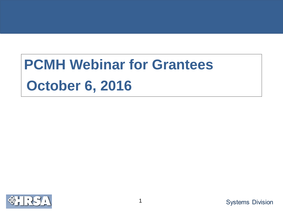# **PCMH Webinar for Grantees October 6, 2016**

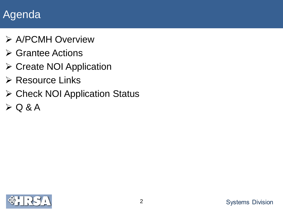# Agenda

- A/PCMH Overview
- **≻ Grantee Actions**
- **≻ Create NOI Application**
- $\triangleright$  Resource Links
- ▶ Check NOI Application Status
- $> Q 8 A$

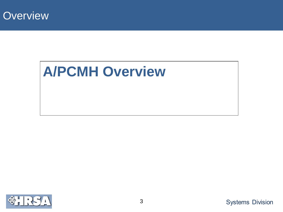

# **A/PCMH Overview**

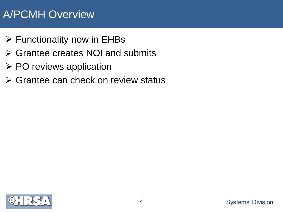## A/PCMH Overview

- $\triangleright$  Functionality now in EHBs
- Grantee creates NOI and submits
- $\triangleright$  PO reviews application
- $\triangleright$  Grantee can check on review status

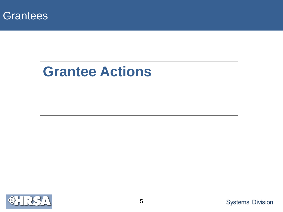

# **Grantee Actions**

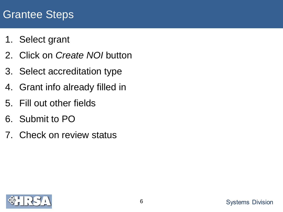### Grantee Steps

- 1. Select grant
- 2. Click on *Create NOI* button
- 3. Select accreditation type
- 4. Grant info already filled in
- 5. Fill out other fields
- 6. Submit to PO
- 7. Check on review status

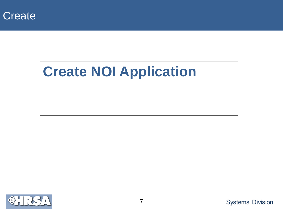

# **Create NOI Application**

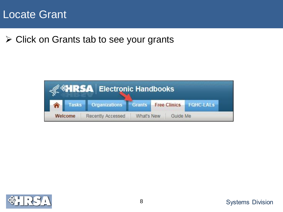

Click on Grants tab to see your grants



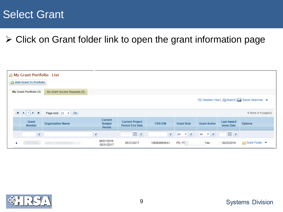### Select Grant

#### $\triangleright$  Click on Grant folder link to open the grant information page

| My Grant Portfolio - List<br>Add Grant To Portfolio |                              |                                           |                                                  |                |                                  |                                  |                                        |                                             |
|-----------------------------------------------------|------------------------------|-------------------------------------------|--------------------------------------------------|----------------|----------------------------------|----------------------------------|----------------------------------------|---------------------------------------------|
| <b>My Grant Portfolio (1)</b>                       | My Grant Access Requests (0) |                                           |                                                  |                |                                  |                                  |                                        |                                             |
|                                                     |                              |                                           |                                                  |                |                                  |                                  |                                        | Detailed View   2 Search   Saved Searches v |
|                                                     | Go<br>Page size: 15 -        |                                           |                                                  |                |                                  |                                  |                                        | 1 items in 1 page(s)                        |
| Grant<br><b>Number</b>                              | <b>Organization Name</b>     | <b>Current</b><br><b>Budget</b><br>Period | <b>Current Project</b><br><b>Period End Date</b> | <b>CRS-EIN</b> | <b>Grant Role</b>                | <b>Grant Active</b>              | <b>Last Award</b><br><b>Issue Date</b> | <b>Options</b>                              |
| $\mathbf Y$                                         |                              | Y                                         | EY                                               | $\mathbf{Y}$   | $\mathbf{v}$ $\mathbf{v}$<br>All | All<br>$\mathbf{v}$ $\mathbf{Y}$ | 国了                                     |                                             |
|                                                     |                              | 06/01/2016-<br>05/31/2017                 | 05/31/2017                                       | 1060646656A1   | PD, FF                           | Yes                              | 38/25/2016                             | <b>Grant Folder</b> ▼                       |

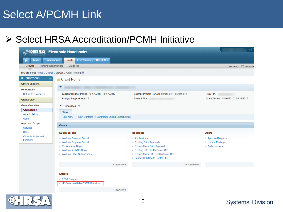### Select A/PCMH Link

#### ▶ Select HRSA Accreditation/PCMH Initiative

|                                                                             | <b>KET RSA Electronic Handbooks</b>                                                                                                            |                                                                                                                                                                                      | , т                                                             |
|-----------------------------------------------------------------------------|------------------------------------------------------------------------------------------------------------------------------------------------|--------------------------------------------------------------------------------------------------------------------------------------------------------------------------------------|-----------------------------------------------------------------|
| <b>Organizations</b><br><b>Tasks</b>                                        | Free Clinics   FQHC-LALs<br><b>Grants</b>                                                                                                      |                                                                                                                                                                                      |                                                                 |
| <b>Funding Opportunities</b><br><b>Browse</b>                               | Guide Me                                                                                                                                       |                                                                                                                                                                                      | Wednesday 28 <sup>th</sup> Septembe                             |
| You are here: Home » Grants » Browse » Grant Folder [ $\equiv$ ]            |                                                                                                                                                |                                                                                                                                                                                      |                                                                 |
| <b>ALL FUNCTIONS</b><br>$\ll$<br><b>Other Functions</b><br>$\blacktriangle$ | Grant Home                                                                                                                                     |                                                                                                                                                                                      |                                                                 |
| <b>My Portfolio</b>                                                         | ▼                                                                                                                                              |                                                                                                                                                                                      |                                                                 |
| <b>Return to Grants List</b>                                                | Current Budget Period: 06/01/2016 - 05/31/2017                                                                                                 | Current Project Period: 08/01/2015 - 05/31/2017                                                                                                                                      | <b>CRS-EIN:</b>                                                 |
| <b>Grant Folder</b><br>$\Delta$                                             | <b>Budget Support Year: 2</b>                                                                                                                  | <b>Project Title:</b>                                                                                                                                                                | Grant Period: 08/01/2015 - 05/31/2017                           |
| <b>Grant Overview</b>                                                       | ▼ Resources L'                                                                                                                                 |                                                                                                                                                                                      |                                                                 |
| <b>Grant Home</b><br><b>Award History</b>                                   | <b>View</b>                                                                                                                                    |                                                                                                                                                                                      |                                                                 |
| <b>Users</b>                                                                | Last NoA   HRSA Contacts   Awarded Funding Opportunities                                                                                       |                                                                                                                                                                                      |                                                                 |
| <b>Approved Scope</b><br>Services                                           | <b>Grants</b>                                                                                                                                  |                                                                                                                                                                                      |                                                                 |
| <b>Sites</b>                                                                | <b>Submissions</b>                                                                                                                             | <b>Requests</b>                                                                                                                                                                      | <b>Users</b>                                                    |
| Other Activities and<br>Locations                                           | ■ Work on Financial Report<br>■ Work on Progress Report<br><b>Performance Report</b><br>■ Work on My NCC Report<br>■ Work on Other Submissions | Applications<br><b>Existing Prior Approvals</b><br>Request New Prior Approval<br>Existing H80 Health Center CIS<br>Request New H80 Health Center CIS<br>Legacy H80 Health Center CIS | Approve Requests<br><b>Didate Privileges</b><br>□ Authorize New |
|                                                                             | + View More                                                                                                                                    | + View More                                                                                                                                                                          |                                                                 |
|                                                                             | <b>Others</b><br>FTCA Program<br>■ HRSA Accreditation/PCMH Initiative                                                                          |                                                                                                                                                                                      |                                                                 |
|                                                                             | + View More                                                                                                                                    |                                                                                                                                                                                      |                                                                 |

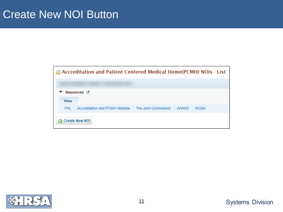| <b>E</b> Accreditation and Patient Centered Medical Home(PCMH) NOIs - List |
|----------------------------------------------------------------------------|
|                                                                            |
| Resources L'                                                               |
| <b>View</b>                                                                |
| PAL Accreditation and PCMH Website The Joint Commission AAAHC NCQA         |
| <b>Create New NOI</b>                                                      |

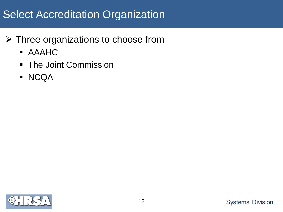# Select Accreditation Organization

- Three organizations to choose from
	- AAAHC
	- **The Joint Commission**
	- **NCQA**

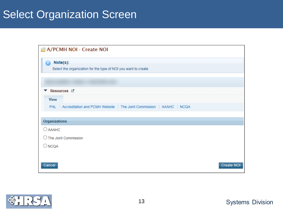## Select Organization Screen

| A/PCMH NOI - Create NOI                                                  |                   |
|--------------------------------------------------------------------------|-------------------|
| Note(s):                                                                 |                   |
| Select the organization for the type of NOI you want to create           |                   |
|                                                                          |                   |
| Resources L'                                                             |                   |
| <b>View</b>                                                              |                   |
| PAL Accreditation and PCMH Website   The Joint Commission   AAAHC   NCQA |                   |
|                                                                          |                   |
| Organizations                                                            |                   |
| $O$ AAAHC                                                                |                   |
| ◯ The Joint Commission                                                   |                   |
| $\bigcirc$ NCQA                                                          |                   |
|                                                                          |                   |
| Cancel                                                                   | <b>Create NOI</b> |

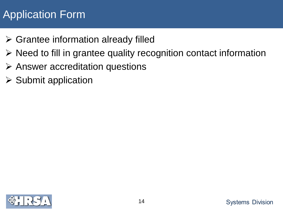# Application Form

- $\triangleright$  Grantee information already filled
- $\triangleright$  Need to fill in grantee quality recognition contact information
- $\triangleright$  Answer accreditation questions
- $\triangleright$  Submit application

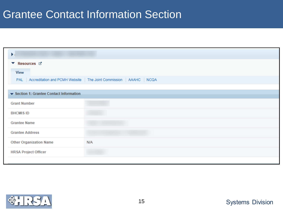### Grantee Contact Information Section

| $\blacktriangleright$                    |                                                                          |  |  |  |  |
|------------------------------------------|--------------------------------------------------------------------------|--|--|--|--|
| ▼ Resources ぱ                            |                                                                          |  |  |  |  |
| <b>View</b>                              |                                                                          |  |  |  |  |
|                                          | PAL Accreditation and PCMH Website   The Joint Commission   AAAHC   NCQA |  |  |  |  |
|                                          |                                                                          |  |  |  |  |
| ▼ Section 1: Grantee Contact Information |                                                                          |  |  |  |  |
| <b>Grant Number</b>                      |                                                                          |  |  |  |  |
| <b>BHCMIS ID</b>                         |                                                                          |  |  |  |  |
| <b>Grantee Name</b>                      |                                                                          |  |  |  |  |
| <b>Grantee Address</b>                   |                                                                          |  |  |  |  |
| <b>Other Organization Name</b>           | <b>N/A</b>                                                               |  |  |  |  |
| <b>HRSA Project Officer</b>              |                                                                          |  |  |  |  |
|                                          |                                                                          |  |  |  |  |

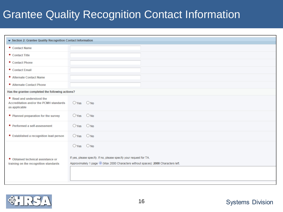# Grantee Quality Recognition Contact Information

| Section 2: Grantee Quality Recognition Contact Information                                   |                                                                    |                                                                                      |  |  |  |  |
|----------------------------------------------------------------------------------------------|--------------------------------------------------------------------|--------------------------------------------------------------------------------------|--|--|--|--|
| * Contact Name                                                                               |                                                                    |                                                                                      |  |  |  |  |
| ★ Contact Title                                                                              |                                                                    |                                                                                      |  |  |  |  |
| * Contact Phone                                                                              |                                                                    |                                                                                      |  |  |  |  |
| * Contact Email                                                                              |                                                                    |                                                                                      |  |  |  |  |
| * Alternate Contact Name                                                                     |                                                                    |                                                                                      |  |  |  |  |
| * Alternate Contact Phone                                                                    |                                                                    |                                                                                      |  |  |  |  |
| Has the grantee completed the following actions?                                             |                                                                    |                                                                                      |  |  |  |  |
| * Read and understood the<br><b>Accreditation and/or the PCMH standards</b><br>as applicable | $OYes$ $ONo$                                                       |                                                                                      |  |  |  |  |
| * Planned preparation for the survey                                                         | $O$ Yes                                                            | $\bigcirc$ No                                                                        |  |  |  |  |
| ★ Performed a self-assessment                                                                | $O$ Yes                                                            | $O$ No                                                                               |  |  |  |  |
| ★ Established a recognition lead person                                                      | $O$ Yes                                                            | $\bigcirc$ No                                                                        |  |  |  |  |
|                                                                                              | $O$ Yes                                                            | $\bigcirc$ No                                                                        |  |  |  |  |
| * Obtained technical assistance or                                                           | If yes, please specify. If no, please specify your request for TA. |                                                                                      |  |  |  |  |
| training on the recognition standards                                                        |                                                                    | Approximately 1 page (i) (Max 2000 Characters without spaces): 2000 Characters left. |  |  |  |  |
|                                                                                              |                                                                    |                                                                                      |  |  |  |  |
|                                                                                              |                                                                    |                                                                                      |  |  |  |  |

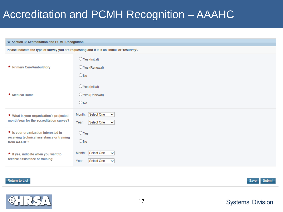# Accreditation and PCMH Recognition – AAAHC

| ▼ Section 3: Accreditation and PCMH Recognition                                                   |                                                                                                |  |  |  |
|---------------------------------------------------------------------------------------------------|------------------------------------------------------------------------------------------------|--|--|--|
|                                                                                                   | Please indicate the type of survey you are requesting and if it is an 'initial' or 'resurvey'. |  |  |  |
| * Primary Care/Ambulatory                                                                         | $\bigcirc$ Yes (Initial)<br>$\bigcirc$ Yes (Renewal)<br>$\bigcirc$ No                          |  |  |  |
| * Medical Home                                                                                    | $\bigcirc$ Yes (Initial)<br>$\bigcirc$ Yes (Renewal)<br>$\bigcirc$ No                          |  |  |  |
| * What is your organization's projected<br>month/year for the accreditation survey?               | Select One<br>Month:<br>$\checkmark$<br>Select One<br>Year:<br>$\checkmark$                    |  |  |  |
| * Is your organization interested in<br>receiving technical assistance or training<br>from AAAHC? | $O$ Yes<br>$\bigcirc$ No                                                                       |  |  |  |
| * If yes, indicate when you want to<br>receive assistance or training:                            | Select One<br>Month:<br>$\checkmark$<br>Select One<br>Year:<br>$\checkmark$                    |  |  |  |
| Return to List                                                                                    | Submit<br>Save                                                                                 |  |  |  |

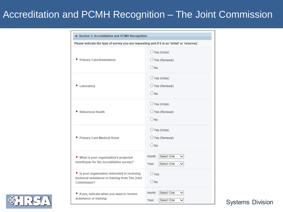#### Accreditation and PCMH Recognition – The Joint Commission

| Section 3: Accreditation and PCMH Recognition                                                                    |                                                                                                |  |  |  |
|------------------------------------------------------------------------------------------------------------------|------------------------------------------------------------------------------------------------|--|--|--|
|                                                                                                                  | Please indicate the type of survey you are requesting and if it is an 'initial' or 'resurvey'. |  |  |  |
| <b>Primary Care/Ambulatory</b>                                                                                   | $\bigcirc$ Yes (Initial)<br>$\bigcirc$ Yes (Renewal)<br>$O$ No                                 |  |  |  |
| Laboratory                                                                                                       | $\bigcirc$ Yes (Initial)<br>$\bigcirc$ Yes (Renewal)<br>$O$ No                                 |  |  |  |
| <b>Behavioral Health</b>                                                                                         | $\bigcirc$ Yes (Initial)<br>O Yes (Renewal)<br>$O$ No.                                         |  |  |  |
| <b>Primary Care Medical Home</b>                                                                                 | $\bigcirc$ Yes (Initial)<br>$\bigcirc$ Yes (Renewal)<br>ONO                                    |  |  |  |
| ★ What is your organization's projected<br>month/year for the accreditation survey?                              | Select One<br>Month:<br>Year:<br>Select One                                                    |  |  |  |
| * Is your organization interested in receiving<br>technical assistance or training from The Joint<br>Commission? | OYes<br>$\bigcirc$ No                                                                          |  |  |  |
| * If yes, indicate when you want to receive<br>assistance or training:                                           | Month:<br>Select One<br>◡<br>Select One<br>Year:<br>◡                                          |  |  |  |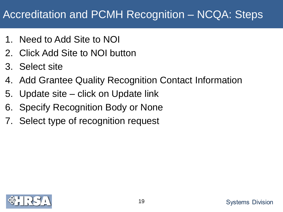# Accreditation and PCMH Recognition – NCQA: Steps

- 1. Need to Add Site to NOI
- 2. Click Add Site to NOI button
- 3. Select site
- 4. Add Grantee Quality Recognition Contact Information
- 5. Update site click on Update link
- 6. Specify Recognition Body or None
- 7. Select type of recognition request

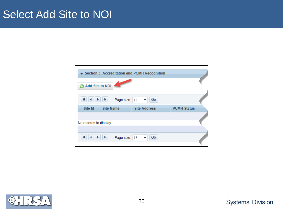#### Select Add Site to NOI



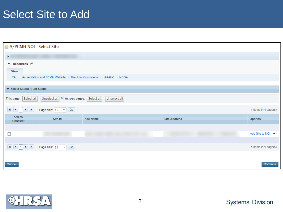### Select Site to Add

| A/PCMH NOI - Select Site                                                                                                                                                                        |                                               |                                                                          |                     |                               |
|-------------------------------------------------------------------------------------------------------------------------------------------------------------------------------------------------|-----------------------------------------------|--------------------------------------------------------------------------|---------------------|-------------------------------|
| Þ.                                                                                                                                                                                              |                                               |                                                                          |                     |                               |
| ▼ Resources ぱ<br><b>View</b>                                                                                                                                                                    |                                               | PAL Accreditation and PCMH Website   The Joint Commission   AAAHC   NCQA |                     |                               |
| ▼ Select Site(s) From Scope                                                                                                                                                                     |                                               |                                                                          |                     |                               |
| This page: Select all                                                                                                                                                                           | Unselect all   0   Across pages:   Select all | Unselect all                                                             |                     |                               |
| $\mathbf{H} \left[ \left. \left. \left. \left. \left. \mathbf{H} \right. \right. \right  \right. \left. \left. \mathbf{H} \right. \right  \right. \left. \mathbf{H} \right] \right. \mathbf{H}$ | Page size: $15 \times  $ Go                   |                                                                          |                     | 1 items in 1 page(s)          |
| Select/<br><b>Unselect</b>                                                                                                                                                                      | Site Id                                       | <b>Site Name</b>                                                         | <b>Site Address</b> | <b>Options</b>                |
| ⊔                                                                                                                                                                                               |                                               |                                                                          |                     | Add Site to NOI $\rightarrow$ |
| $\mathbf{H}$ $\mathbf{H}$ $\mathbf{H}$                                                                                                                                                          | Page size: $15 \times$ Go                     |                                                                          |                     | 1 items in 1 page(s)          |
| Cancel                                                                                                                                                                                          |                                               |                                                                          |                     | Continue                      |

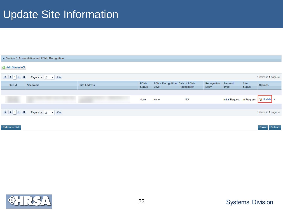# Update Site Information

|                 | Section 3: Accreditation and PCMH Recognition |                     |                              |                                        |                    |                            |                             |                              |                       |
|-----------------|-----------------------------------------------|---------------------|------------------------------|----------------------------------------|--------------------|----------------------------|-----------------------------|------------------------------|-----------------------|
| Add Site to NOI |                                               |                     |                              |                                        |                    |                            |                             |                              |                       |
|                 |                                               |                     |                              |                                        |                    |                            |                             |                              |                       |
|                 | Page size: $15 \times  \text{Go} $            |                     |                              |                                        |                    |                            |                             |                              | 1 items in 1 page(s)  |
| Site Id         | <b>Site Name</b>                              | <b>Site Address</b> | <b>PCMH</b><br><b>Status</b> | PCMH Recognition Date of PCMH<br>Level | <b>Recognition</b> | Recognition<br><b>Body</b> | Request<br><b>Type</b>      | <b>Site</b><br><b>Status</b> | <b>Options</b>        |
|                 |                                               |                     |                              |                                        |                    |                            |                             |                              |                       |
|                 |                                               |                     | None                         | None                                   | N/A                |                            | Initial Request In Progress |                              | <b>⊘</b> Update       |
|                 |                                               |                     |                              |                                        |                    |                            |                             |                              |                       |
|                 | Page size: $15 \times \boxed{60}$             |                     |                              |                                        |                    |                            |                             |                              | 1 items in 1 page(s)  |
|                 |                                               |                     |                              |                                        |                    |                            |                             |                              |                       |
| Return to List  |                                               |                     |                              |                                        |                    |                            |                             |                              | <b>Submit</b><br>Save |

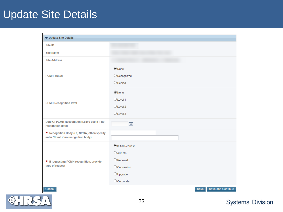## Update Site Details

| ▼ Update Site Details                                                                 |                                                                                                                     |  |  |  |  |  |
|---------------------------------------------------------------------------------------|---------------------------------------------------------------------------------------------------------------------|--|--|--|--|--|
| Site ID                                                                               |                                                                                                                     |  |  |  |  |  |
| <b>Site Name</b>                                                                      |                                                                                                                     |  |  |  |  |  |
| <b>Site Address</b>                                                                   |                                                                                                                     |  |  |  |  |  |
| <b>PCMH Status</b>                                                                    | $•$ None<br>Recognized<br>$O$ Denied                                                                                |  |  |  |  |  |
| <b>PCMH Recognition level</b>                                                         | $\odot$ None<br>O Level 1<br>$O$ Level 2<br>O Level 3                                                               |  |  |  |  |  |
| Date Of PCMH Recognition (Leave blank if no<br>recognition date)                      | 囲                                                                                                                   |  |  |  |  |  |
| * Recognition Body (i.e, NCQA, other-specify,<br>enter 'None' if no recognition body) |                                                                                                                     |  |  |  |  |  |
| * If requesting PCMH recognition, provide<br>type of request                          | O Initial Request<br>$O$ Add On<br>$\bigcirc$ Renewal<br>O Conversion<br>$\bigcirc$ Upgrade<br>$\bigcirc$ Corporate |  |  |  |  |  |
| Cancel                                                                                | Save<br>Save and Continue                                                                                           |  |  |  |  |  |

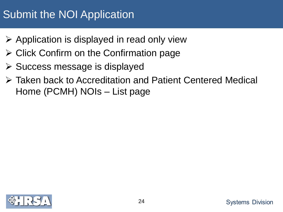# Submit the NOI Application

- $\triangleright$  Application is displayed in read only view
- $\triangleright$  Click Confirm on the Confirmation page
- $\triangleright$  Success message is displayed
- Taken back to Accreditation and Patient Centered Medical Home (PCMH) NOIs – List page

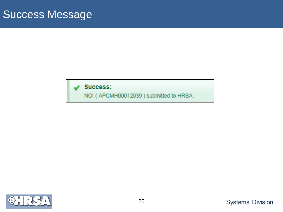#### **Success:**

NOI ( APCMH00012039 ) submitted to HRSA.

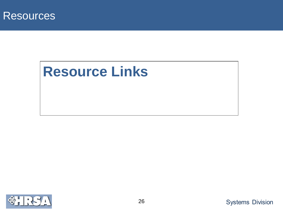

# **Resource Links**

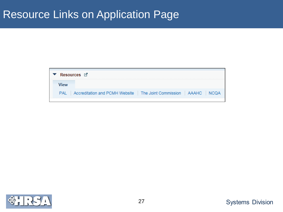#### Resource Links on Application Page

| Resources L'                                                       |
|--------------------------------------------------------------------|
|                                                                    |
| PAL Accreditation and PCMH Website The Joint Commission AAAHC NCQA |

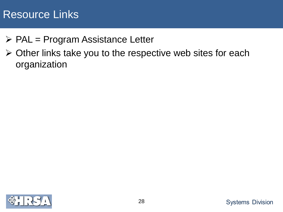#### Resource Links

- $\triangleright$  PAL = Program Assistance Letter
- $\triangleright$  Other links take you to the respective web sites for each organization

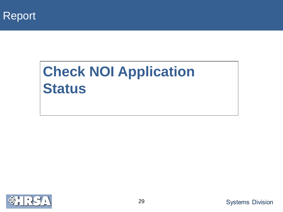

# **Check NOI Application Status**

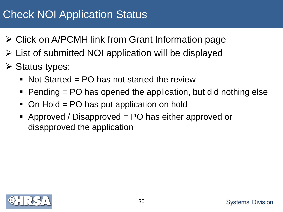# Check NOI Application Status

- Click on A/PCMH link from Grant Information page
- $\triangleright$  List of submitted NOI application will be displayed
- $\triangleright$  Status types:
	- $\blacksquare$  Not Started = PO has not started the review
	- $\blacksquare$  Pending = PO has opened the application, but did nothing else
	- On Hold = PO has put application on hold
	- Approved / Disapproved = PO has either approved or disapproved the application

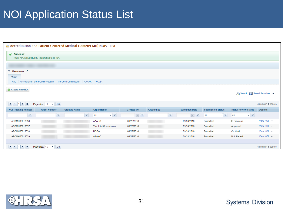# NOI Application Status List

| <b>B</b> Accreditation and Patient Centered Medical Home(PCMH) NOIs - List                          |                     |                     |   |                                  |                   |                   |              |                       |                                  |                                  |                        |
|-----------------------------------------------------------------------------------------------------|---------------------|---------------------|---|----------------------------------|-------------------|-------------------|--------------|-----------------------|----------------------------------|----------------------------------|------------------------|
| $\mathcal Y$ Success:<br>NOI ( APCMH00012039 ) submitted to HRSA.                                   |                     |                     |   |                                  |                   |                   |              |                       |                                  |                                  |                        |
|                                                                                                     |                     |                     |   |                                  |                   |                   |              |                       |                                  |                                  |                        |
| ▼ Resources L'                                                                                      |                     |                     |   |                                  |                   |                   |              |                       |                                  |                                  |                        |
| <b>View</b>                                                                                         |                     |                     |   |                                  |                   |                   |              |                       |                                  |                                  |                        |
| PAL Accreditation and PCMH Website The Joint Commission AAAHC NCQA                                  |                     |                     |   |                                  |                   |                   |              |                       |                                  |                                  |                        |
| Create New NOI<br>Ag Search   Saved Searches ▼<br>4 items in 1 page(s)<br>Page size: $15 \times$ Go |                     |                     |   |                                  |                   |                   |              |                       |                                  |                                  |                        |
| <b>NOI Tracking Number</b>                                                                          | <b>Grant Number</b> | <b>Grantee Name</b> |   | Organization                     | <b>Created On</b> | <b>Created By</b> |              | <b>Submitted Date</b> | <b>Submission Status</b>         | <b>HRSA Review Status</b>        | <b>Options</b>         |
| $\mathbf{Y}$                                                                                        | $\mathbf{Y}$        |                     | Y | $\mathbf{v}$ $\mathbf{v}$<br>All | EY                |                   | $\mathbf{Y}$ | EY                    | $\mathbf{v}$ $\mathbf{v}$<br>All | $\mathbf{v}$ $\mathbf{v}$<br>All |                        |
| APCMH00012036                                                                                       |                     |                     |   | <b>AAAHC</b>                     | 09/28/2016        |                   |              | 09/28/2016            | Submitted                        | In Progress                      | View NOI $\rightarrow$ |
| APCMH00012037                                                                                       |                     |                     |   | The Joint Commission             | 09/28/2016        |                   |              | 09/28/2016            | Submitted                        | Approved                         | View NOI $\rightarrow$ |
| APCMH00012038                                                                                       |                     |                     |   | <b>NCQA</b>                      | 09/28/2016        |                   |              | 09/28/2016            | Submitted                        | On Hold                          | View NOI $\rightarrow$ |
| APCMH00012039                                                                                       |                     |                     |   | AAAHC                            | 09/28/2016        |                   |              | 09/28/2016            | Submitted                        | Not Started                      | View NOI $\rightarrow$ |
|                                                                                                     |                     |                     |   |                                  |                   |                   |              |                       |                                  |                                  |                        |
| $H$ $($ $1$ $)$ $H$<br>Page size: $15 \times$ Go<br>4 items in 1 page(s)                            |                     |                     |   |                                  |                   |                   |              |                       |                                  |                                  |                        |

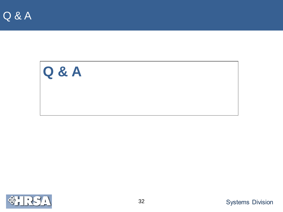Q & A



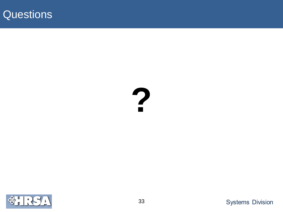